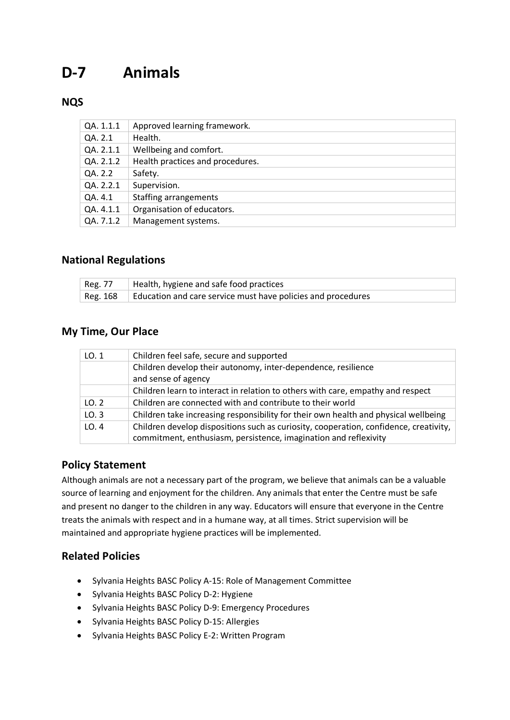# **D-7 Animals**

## **NQS**

| QA. 1.1.1 | Approved learning framework.     |
|-----------|----------------------------------|
| QA. 2.1   | Health.                          |
| QA. 2.1.1 | Wellbeing and comfort.           |
| QA. 2.1.2 | Health practices and procedures. |
| QA. 2.2   | Safety.                          |
| QA. 2.2.1 | Supervision.                     |
| QA. 4.1   | <b>Staffing arrangements</b>     |
| QA. 4.1.1 | Organisation of educators.       |
| QA. 7.1.2 | Management systems.              |

#### **National Regulations**

| $\vert$ Reg. 77 $\vert$ Health, hygiene and safe food practices       |
|-----------------------------------------------------------------------|
| Reg. 168 Education and care service must have policies and procedures |

#### **My Time, Our Place**

| LO.1 | Children feel safe, secure and supported                                              |
|------|---------------------------------------------------------------------------------------|
|      | Children develop their autonomy, inter-dependence, resilience                         |
|      | and sense of agency                                                                   |
|      | Children learn to interact in relation to others with care, empathy and respect       |
| LO.2 | Children are connected with and contribute to their world                             |
| LO.3 | Children take increasing responsibility for their own health and physical wellbeing   |
| LO.4 | Children develop dispositions such as curiosity, cooperation, confidence, creativity, |
|      | commitment, enthusiasm, persistence, imagination and reflexivity                      |

#### **Policy Statement**

Although animals are not a necessary part of the program, we believe that animals can be a valuable source of learning and enjoyment for the children. Any animals that enter the Centre must be safe and present no danger to the children in any way. Educators will ensure that everyone in the Centre treats the animals with respect and in a humane way, at all times. Strict supervision will be maintained and appropriate hygiene practices will be implemented.

#### **Related Policies**

- Sylvania Heights BASC Policy A-15: Role of Management Committee
- Sylvania Heights BASC Policy D-2: Hygiene
- Sylvania Heights BASC Policy D-9: Emergency Procedures
- Sylvania Heights BASC Policy D-15: Allergies
- Sylvania Heights BASC Policy E-2: Written Program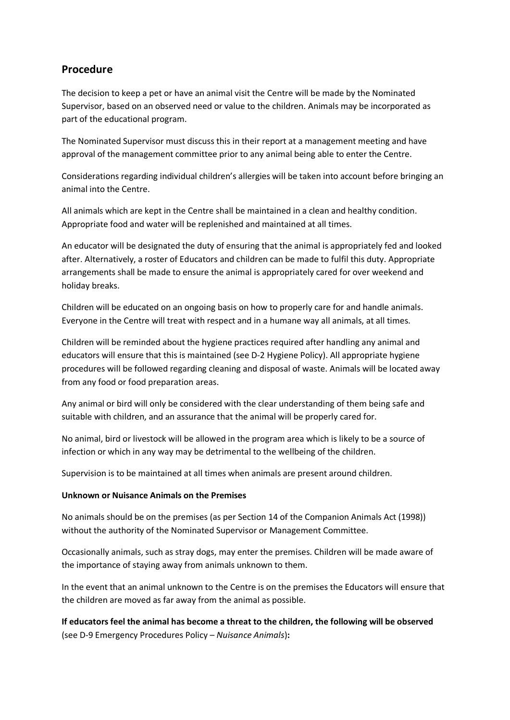### **Procedure**

The decision to keep a pet or have an animal visit the Centre will be made by the Nominated Supervisor, based on an observed need or value to the children. Animals may be incorporated as part of the educational program.

The Nominated Supervisor must discuss this in their report at a management meeting and have approval of the management committee prior to any animal being able to enter the Centre.

Considerations regarding individual children's allergies will be taken into account before bringing an animal into the Centre.

All animals which are kept in the Centre shall be maintained in a clean and healthy condition. Appropriate food and water will be replenished and maintained at all times.

An educator will be designated the duty of ensuring that the animal is appropriately fed and looked after. Alternatively, a roster of Educators and children can be made to fulfil this duty. Appropriate arrangements shall be made to ensure the animal is appropriately cared for over weekend and holiday breaks.

Children will be educated on an ongoing basis on how to properly care for and handle animals. Everyone in the Centre will treat with respect and in a humane way all animals, at all times.

Children will be reminded about the hygiene practices required after handling any animal and educators will ensure that this is maintained (see D-2 Hygiene Policy). All appropriate hygiene procedures will be followed regarding cleaning and disposal of waste. Animals will be located away from any food or food preparation areas.

Any animal or bird will only be considered with the clear understanding of them being safe and suitable with children, and an assurance that the animal will be properly cared for.

No animal, bird or livestock will be allowed in the program area which is likely to be a source of infection or which in any way may be detrimental to the wellbeing of the children.

Supervision is to be maintained at all times when animals are present around children.

#### **Unknown or Nuisance Animals on the Premises**

No animals should be on the premises (as per Section 14 of the Companion Animals Act (1998)) without the authority of the Nominated Supervisor or Management Committee.

Occasionally animals, such as stray dogs, may enter the premises. Children will be made aware of the importance of staying away from animals unknown to them.

In the event that an animal unknown to the Centre is on the premises the Educators will ensure that the children are moved as far away from the animal as possible.

**If educators feel the animal has become a threat to the children, the following will be observed**  (see D-9 Emergency Procedures Policy – *Nuisance Animals*)**:**